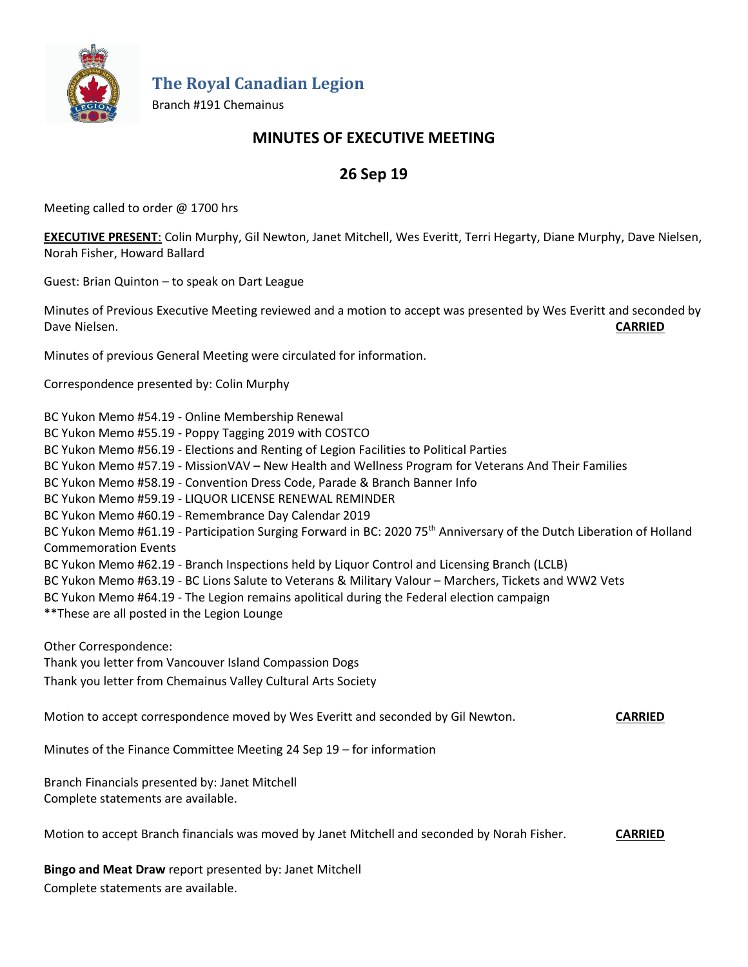

**The Royal Canadian Legion**

Branch #191 Chemainus

## **MINUTES OF EXECUTIVE MEETING**

# **26 Sep 19**

Meeting called to order @ 1700 hrs

**EXECUTIVE PRESENT**: Colin Murphy, Gil Newton, Janet Mitchell, Wes Everitt, Terri Hegarty, Diane Murphy, Dave Nielsen, Norah Fisher, Howard Ballard

Guest: Brian Quinton – to speak on Dart League

Minutes of Previous Executive Meeting reviewed and a motion to accept was presented by Wes Everitt and seconded by Dave Nielsen. **CARRIED**

Minutes of previous General Meeting were circulated for information.

Correspondence presented by: Colin Murphy

BC Yukon Memo #54.19 - Online Membership Renewal

BC Yukon Memo #55.19 - Poppy Tagging 2019 with COSTCO

BC Yukon Memo #56.19 - Elections and Renting of Legion Facilities to Political Parties

BC Yukon Memo #57.19 - MissionVAV – New Health and Wellness Program for Veterans And Their Families

BC Yukon Memo #58.19 - Convention Dress Code, Parade & Branch Banner Info

BC Yukon Memo #59.19 - LIQUOR LICENSE RENEWAL REMINDER

BC Yukon Memo #60.19 - Remembrance Day Calendar 2019

BC Yukon Memo #61.19 - Participation Surging Forward in BC: 2020 75<sup>th</sup> Anniversary of the Dutch Liberation of Holland Commemoration Events

BC Yukon Memo #62.19 - Branch Inspections held by Liquor Control and Licensing Branch (LCLB)

BC Yukon Memo #63.19 - BC Lions Salute to Veterans & Military Valour – Marchers, Tickets and WW2 Vets

- BC Yukon Memo #64.19 The Legion remains apolitical during the Federal election campaign
- \*\*These are all posted in the Legion Lounge

Other Correspondence: Thank you letter from Vancouver Island Compassion Dogs Thank you letter from Chemainus Valley Cultural Arts Society

Motion to accept correspondence moved by Wes Everitt and seconded by Gil Newton. **CARRIED**

Minutes of the Finance Committee Meeting 24 Sep 19 – for information

Branch Financials presented by: Janet Mitchell Complete statements are available.

Motion to accept Branch financials was moved by Janet Mitchell and seconded by Norah Fisher. **CARRIED**

**Bingo and Meat Draw** report presented by: Janet Mitchell Complete statements are available.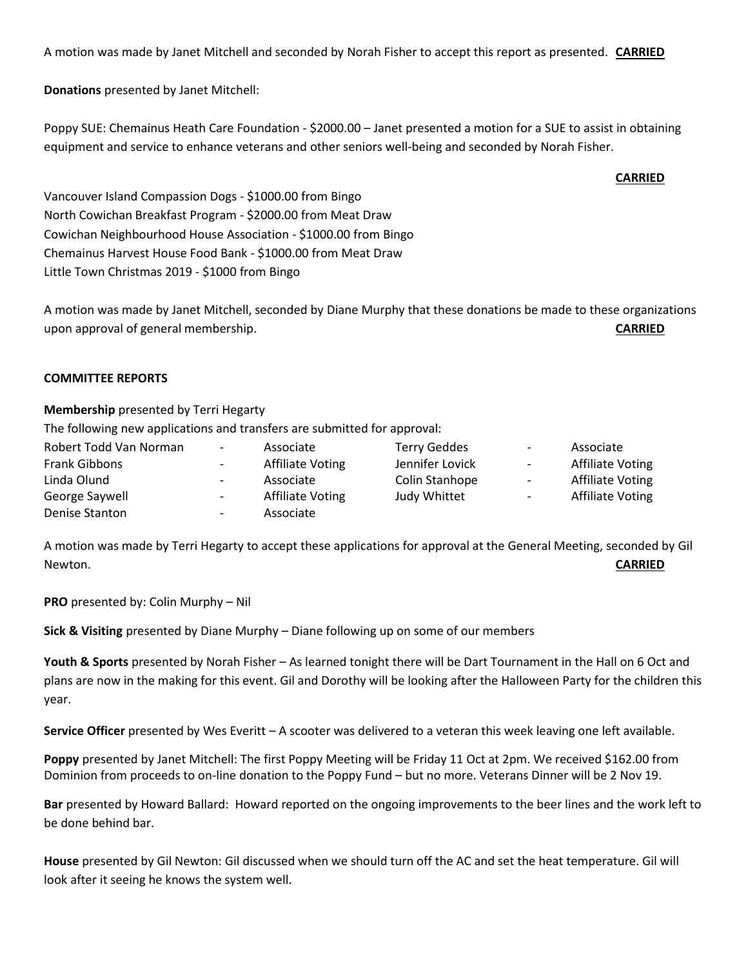A motion was made by Janet Mitchell and seconded by Norah Fisher to accept this report as presented. **CARRIED**

**Donations** presented by Janet Mitchell:

Poppy SUE: Chemainus Heath Care Foundation - \$2000.00 – Janet presented a motion for a SUE to assist in obtaining equipment and service to enhance veterans and other seniors well-being and seconded by Norah Fisher.

**CARRIED**

Vancouver Island Compassion Dogs - \$1000.00 from Bingo North Cowichan Breakfast Program - \$2000.00 from Meat Draw Cowichan Neighbourhood House Association - \$1000.00 from Bingo Chemainus Harvest House Food Bank - \$1000.00 from Meat Draw Little Town Christmas 2019 - \$1000 from Bingo

A motion was made by Janet Mitchell, seconded by Diane Murphy that these donations be made to these organizations upon approval of general membership. **CARRIED**

#### **COMMITTEE REPORTS**

#### **Membership** presented by Terri Hegarty

The following new applications and transfers are submitted for approval:

| Robert Todd Van Norman | $\sim$                   | Associate               | <b>Terry Geddes</b> | $\sim$ | Associate        |
|------------------------|--------------------------|-------------------------|---------------------|--------|------------------|
| <b>Frank Gibbons</b>   | $\sim$                   | <b>Affiliate Voting</b> | Jennifer Lovick     | $\sim$ | Affiliate Voting |
| Linda Olund            | $\overline{\phantom{0}}$ | Associate               | Colin Stanhope      | $\sim$ | Affiliate Voting |
| George Saywell         | $\sim$                   | <b>Affiliate Voting</b> | Judy Whittet        | $\sim$ | Affiliate Voting |
| Denise Stanton         | $\sim$                   | Associate               |                     |        |                  |

A motion was made by Terri Hegarty to accept these applications for approval at the General Meeting, seconded by Gil Newton. **CARRIED**

**PRO** presented by: Colin Murphy – Nil

**Sick & Visiting** presented by Diane Murphy – Diane following up on some of our members

**Youth & Sports** presented by Norah Fisher – As learned tonight there will be Dart Tournament in the Hall on 6 Oct and plans are now in the making for this event. Gil and Dorothy will be looking after the Halloween Party for the children this year.

**Service Officer** presented by Wes Everitt – A scooter was delivered to a veteran this week leaving one left available.

**Poppy** presented by Janet Mitchell: The first Poppy Meeting will be Friday 11 Oct at 2pm. We received \$162.00 from Dominion from proceeds to on-line donation to the Poppy Fund – but no more. Veterans Dinner will be 2 Nov 19.

**Bar** presented by Howard Ballard: Howard reported on the ongoing improvements to the beer lines and the work left to be done behind bar.

**House** presented by Gil Newton: Gil discussed when we should turn off the AC and set the heat temperature. Gil will look after it seeing he knows the system well.